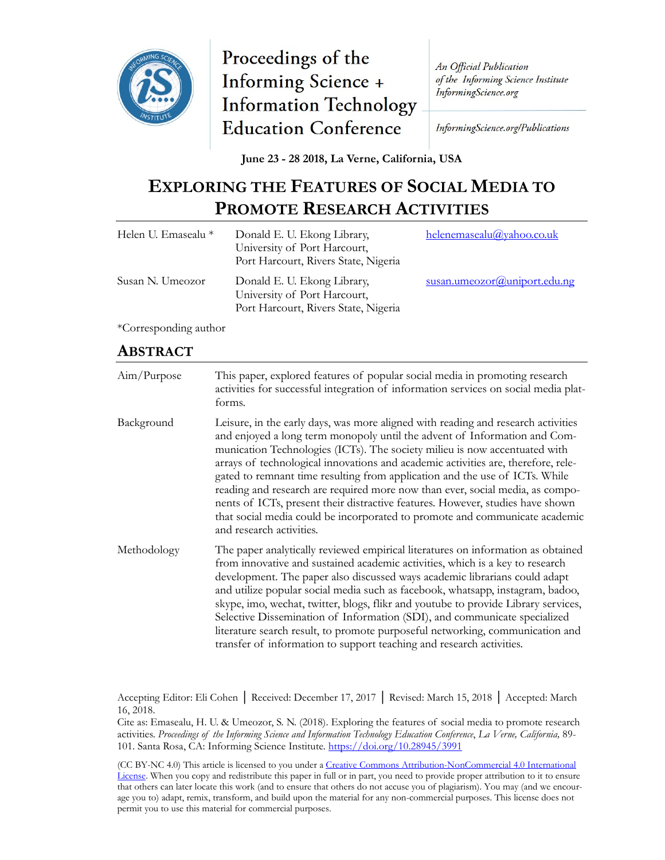

Proceedings of the **Informing Science + Information Technology Education Conference** 

An Official Publication of the Informing Science Institute InformingScience.org

InformingScience.org/Publications

**June 23 - 28 2018, La Verne, California, USA**

# **EXPLORING THE FEATURES OF SOCIAL MEDIA TO PROMOTE RESEARCH ACTIVITIES**

| Helen U. Emasealu * | Donald E. U. Ekong Library,<br>University of Port Harcourt,<br>Port Harcourt, Rivers State, Nigeria | helenemasealu@yahoo.co.uk             |
|---------------------|-----------------------------------------------------------------------------------------------------|---------------------------------------|
| Susan N. Umeozor    | Donald E. U. Ekong Library,<br>University of Port Harcourt,<br>Port Harcourt, Rivers State, Nigeria | $susan.$ umeozor $(a)$ uniport.edu.ng |

\*Corresponding author

### **ABSTRACT**

| Aim/Purpose | This paper, explored features of popular social media in promoting research<br>activities for successful integration of information services on social media plat-<br>forms.                                                                                                                                                                                                                                                                                                                                                                                                                                                                                                                   |
|-------------|------------------------------------------------------------------------------------------------------------------------------------------------------------------------------------------------------------------------------------------------------------------------------------------------------------------------------------------------------------------------------------------------------------------------------------------------------------------------------------------------------------------------------------------------------------------------------------------------------------------------------------------------------------------------------------------------|
| Background  | Leisure, in the early days, was more aligned with reading and research activities<br>and enjoyed a long term monopoly until the advent of Information and Com-<br>munication Technologies (ICTs). The society milieu is now accentuated with<br>arrays of technological innovations and academic activities are, therefore, rele-<br>gated to remnant time resulting from application and the use of ICTs. While<br>reading and research are required more now than ever, social media, as compo-<br>nents of ICTs, present their distractive features. However, studies have shown<br>that social media could be incorporated to promote and communicate academic<br>and research activities. |
| Methodology | The paper analytically reviewed empirical literatures on information as obtained<br>from innovative and sustained academic activities, which is a key to research<br>development. The paper also discussed ways academic librarians could adapt<br>and utilize popular social media such as facebook, whatsapp, instagram, badoo,<br>skype, imo, wechat, twitter, blogs, flikr and youtube to provide Library services,<br>Selective Dissemination of Information (SDI), and communicate specialized<br>literature search result, to promote purposeful networking, communication and<br>transfer of information to support teaching and research activities.                                  |

Accepting Editor: Eli Cohen │ Received: December 17, 2017 │ Revised: March 15, 2018 │ Accepted: March 16, 2018.

Cite as: Emasealu, H. U. & Umeozor, S. N. (2018). Exploring the features of social media to promote research activities. *Proceedings of the Informing Science and Information Technology Education Conference*, *La Verne, California,* 89- 101. Santa Rosa, CA: Informing Science Institute.<https://doi.org/10.28945/3991>

(CC BY-NC 4.0) This article is licensed to you under a Creative Commons Attribution-[NonCommercial 4.0 International](https://creativecommons.org/licenses/by-nc/4.0/)  [License.](https://creativecommons.org/licenses/by-nc/4.0/) When you copy and redistribute this paper in full or in part, you need to provide proper attribution to it to ensure that others can later locate this work (and to ensure that others do not accuse you of plagiarism). You may (and we encourage you to) adapt, remix, transform, and build upon the material for any non-commercial purposes. This license does not permit you to use this material for commercial purposes.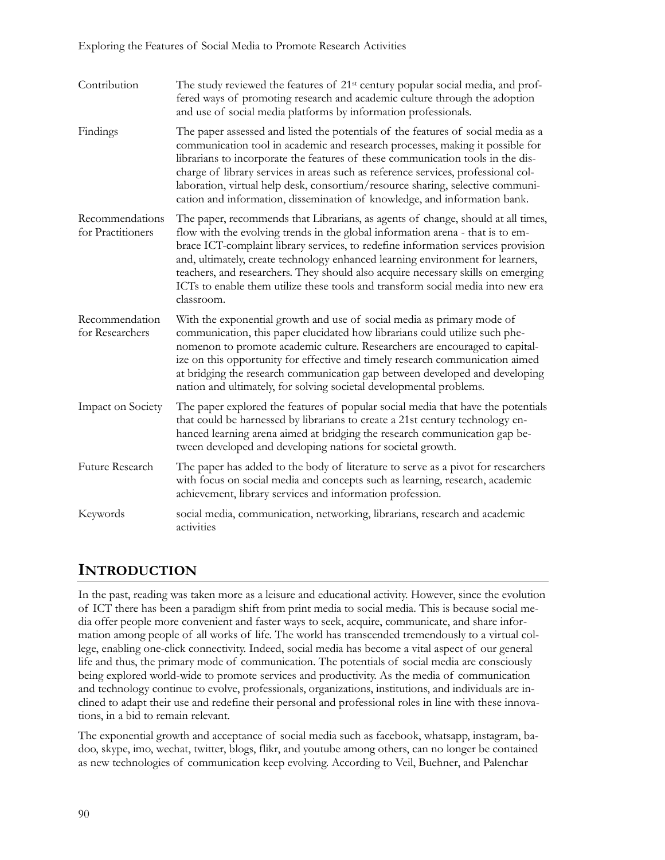| Contribution                         | The study reviewed the features of 21 <sup>st</sup> century popular social media, and prof-<br>fered ways of promoting research and academic culture through the adoption<br>and use of social media platforms by information professionals.                                                                                                                                                                                                                                                                                  |
|--------------------------------------|-------------------------------------------------------------------------------------------------------------------------------------------------------------------------------------------------------------------------------------------------------------------------------------------------------------------------------------------------------------------------------------------------------------------------------------------------------------------------------------------------------------------------------|
| Findings                             | The paper assessed and listed the potentials of the features of social media as a<br>communication tool in academic and research processes, making it possible for<br>librarians to incorporate the features of these communication tools in the dis-<br>charge of library services in areas such as reference services, professional col-<br>laboration, virtual help desk, consortium/resource sharing, selective communi-<br>cation and information, dissemination of knowledge, and information bank.                     |
| Recommendations<br>for Practitioners | The paper, recommends that Librarians, as agents of change, should at all times,<br>flow with the evolving trends in the global information arena - that is to em-<br>brace ICT-complaint library services, to redefine information services provision<br>and, ultimately, create technology enhanced learning environment for learners,<br>teachers, and researchers. They should also acquire necessary skills on emerging<br>ICTs to enable them utilize these tools and transform social media into new era<br>classroom. |
| Recommendation<br>for Researchers    | With the exponential growth and use of social media as primary mode of<br>communication, this paper elucidated how librarians could utilize such phe-<br>nomenon to promote academic culture. Researchers are encouraged to capital-<br>ize on this opportunity for effective and timely research communication aimed<br>at bridging the research communication gap between developed and developing<br>nation and ultimately, for solving societal developmental problems.                                                   |
| Impact on Society                    | The paper explored the features of popular social media that have the potentials<br>that could be harnessed by librarians to create a 21st century technology en-<br>hanced learning arena aimed at bridging the research communication gap be-<br>tween developed and developing nations for societal growth.                                                                                                                                                                                                                |
| Future Research                      | The paper has added to the body of literature to serve as a pivot for researchers<br>with focus on social media and concepts such as learning, research, academic<br>achievement, library services and information profession.                                                                                                                                                                                                                                                                                                |
| Keywords                             | social media, communication, networking, librarians, research and academic<br>activities                                                                                                                                                                                                                                                                                                                                                                                                                                      |

# **INTRODUCTION**

In the past, reading was taken more as a leisure and educational activity. However, since the evolution of ICT there has been a paradigm shift from print media to social media. This is because social media offer people more convenient and faster ways to seek, acquire, communicate, and share information among people of all works of life. The world has transcended tremendously to a virtual college, enabling one-click connectivity. Indeed, social media has become a vital aspect of our general life and thus, the primary mode of communication. The potentials of social media are consciously being explored world-wide to promote services and productivity. As the media of communication and technology continue to evolve, professionals, organizations, institutions, and individuals are inclined to adapt their use and redefine their personal and professional roles in line with these innovations, in a bid to remain relevant.

The exponential growth and acceptance of social media such as facebook, whatsapp, instagram, badoo, skype, imo, wechat, twitter, blogs, flikr, and youtube among others, can no longer be contained as new technologies of communication keep evolving. According to Veil, Buehner, and Palenchar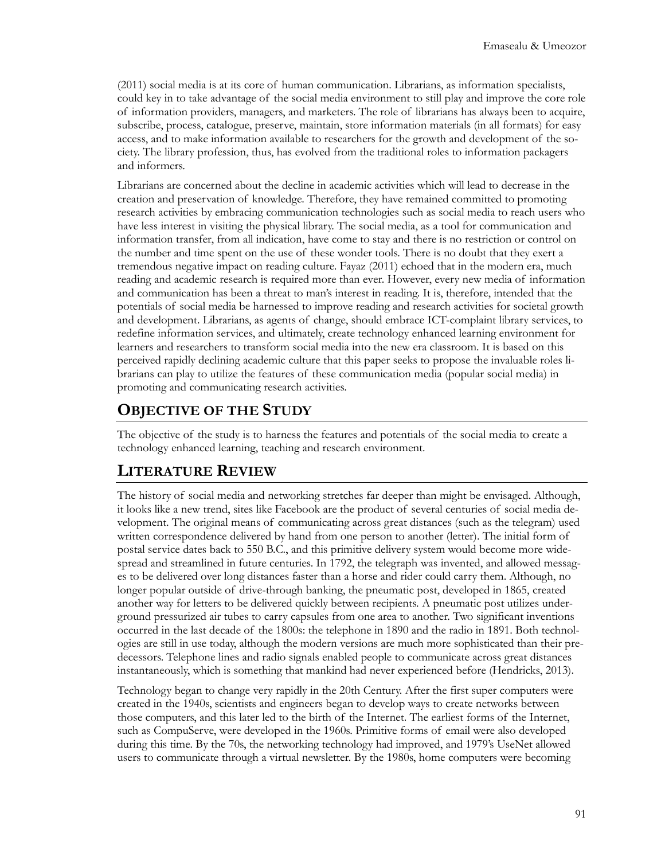(2011) social media is at its core of human communication. Librarians, as information specialists, could key in to take advantage of the social media environment to still play and improve the core role of information providers, managers, and marketers. The role of librarians has always been to acquire, subscribe, process, catalogue, preserve, maintain, store information materials (in all formats) for easy access, and to make information available to researchers for the growth and development of the society. The library profession, thus, has evolved from the traditional roles to information packagers and informers.

Librarians are concerned about the decline in academic activities which will lead to decrease in the creation and preservation of knowledge. Therefore, they have remained committed to promoting research activities by embracing communication technologies such as social media to reach users who have less interest in visiting the physical library. The social media, as a tool for communication and information transfer, from all indication, have come to stay and there is no restriction or control on the number and time spent on the use of these wonder tools. There is no doubt that they exert a tremendous negative impact on reading culture. Fayaz (2011) echoed that in the modern era, much reading and academic research is required more than ever. However, every new media of information and communication has been a threat to man's interest in reading. It is, therefore, intended that the potentials of social media be harnessed to improve reading and research activities for societal growth and development. Librarians, as agents of change, should embrace ICT-complaint library services, to redefine information services, and ultimately, create technology enhanced learning environment for learners and researchers to transform social media into the new era classroom. It is based on this perceived rapidly declining academic culture that this paper seeks to propose the invaluable roles librarians can play to utilize the features of these communication media (popular social media) in promoting and communicating research activities.

# **OBJECTIVE OF THE STUDY**

The objective of the study is to harness the features and potentials of the social media to create a technology enhanced learning, teaching and research environment.

## **LITERATURE REVIEW**

The history of social media and networking stretches far deeper than might be envisaged. Although, it looks like a new trend, sites like Facebook are the product of several centuries of social media development. The original means of communicating across great distances (such as the telegram) used written correspondence delivered by hand from one person to another (letter). The initial form of postal service dates back to 550 B.C., and this primitive delivery system would become more widespread and streamlined in future centuries. In 1792, the telegraph was invented, and allowed messages to be delivered over long distances faster than a horse and rider could carry them. Although, no longer popular outside of drive-through banking, the pneumatic post, developed in 1865, created another way for letters to be delivered quickly between recipients. A pneumatic post utilizes underground pressurized air tubes to carry capsules from one area to another. Two significant inventions occurred in the last decade of the 1800s: the telephone in 1890 and the radio in 1891. Both technologies are still in use today, although the modern versions are much more sophisticated than their predecessors. Telephone lines and radio signals enabled people to communicate across great distances instantaneously, which is something that mankind had never experienced before (Hendricks, 2013).

Technology began to change very rapidly in the 20th Century. After the first super computers were created in the 1940s, scientists and engineers began to develop ways to create networks between those computers, and this later led to the birth of the Internet. The earliest forms of the Internet, such as CompuServe, were developed in the 1960s. Primitive forms of email were also developed during this time. By the 70s, the networking technology had improved, and 1979's UseNet allowed users to communicate through a virtual newsletter. By the 1980s, home computers were becoming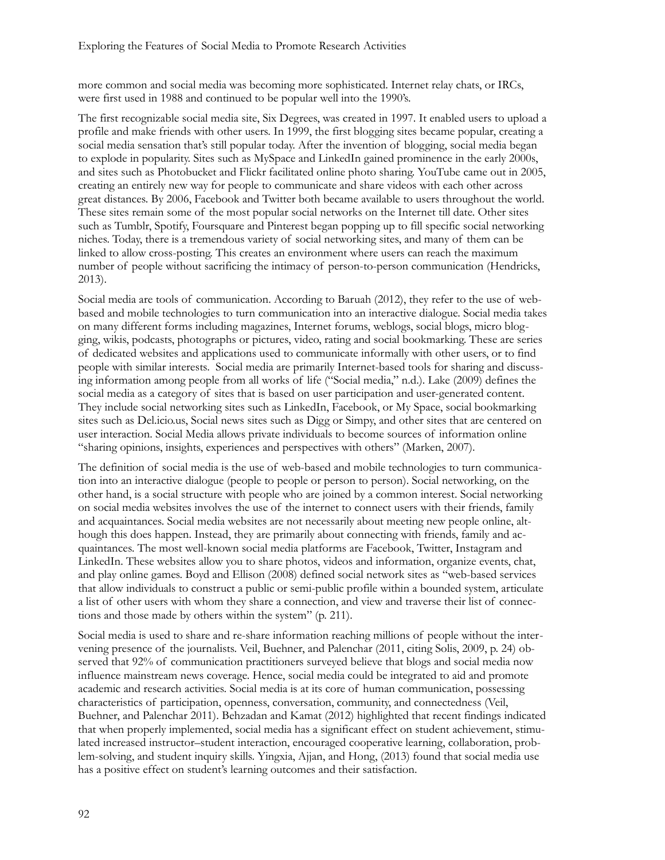more common and social media was becoming more sophisticated. Internet relay chats, or IRCs, were first used in 1988 and continued to be popular well into the 1990's.

The first recognizable social media site, Six Degrees, was created in 1997. It enabled users to upload a profile and make friends with other users. In 1999, the first blogging sites became popular, creating a social media sensation that's still popular today. After the invention of blogging, social media began to explode in popularity. Sites such as MySpace and LinkedIn gained prominence in the early 2000s, and sites such as Photobucket and Flickr facilitated online photo sharing. YouTube came out in 2005, creating an entirely new way for people to communicate and share videos with each other across great distances. By 2006, Facebook and Twitter both became available to users throughout the world. These sites remain some of the most popular social networks on the Internet till date. Other sites such as Tumblr, Spotify, Foursquare and Pinterest began popping up to fill specific social networking niches. Today, there is a tremendous variety of social networking sites, and many of them can be linked to allow cross-posting. This creates an environment where users can reach the maximum number of people without sacrificing the intimacy of person-to-person communication (Hendricks, 2013).

Social media are tools of communication. According to Baruah (2012), they refer to the use of webbased and mobile technologies to turn communication into an interactive dialogue. Social media takes on many different forms including magazines, Internet forums, weblogs, social blogs, micro blogging, wikis, podcasts, photographs or pictures, video, rating and social bookmarking. These are series of dedicated websites and applications used to communicate informally with other users, or to find people with similar interests. Social media are primarily Internet-based tools for sharing and discussing information among people from all works of life ("Social media," n.d.). Lake (2009) defines the social media as a category of sites that is based on user participation and user-generated content. They include social networking sites such as LinkedIn, Facebook, or My Space, social bookmarking sites such as Del.icio.us, Social news sites such as Digg or Simpy, and other sites that are centered on user interaction. Social Media allows private individuals to become sources of information online "sharing opinions, insights, experiences and perspectives with others" (Marken, 2007).

The definition of social media is the use of web-based and mobile technologies to turn communication into an interactive dialogue (people to people or person to person). Social networking, on the other hand, is a social structure with people who are joined by a common interest. Social networking on social media websites involves the use of the internet to connect users with their friends, family and acquaintances. Social media websites are not necessarily about meeting new people online, although this does happen. Instead, they are primarily about connecting with friends, family and acquaintances. The most well-known social media platforms are Facebook, Twitter, Instagram and LinkedIn. These websites allow you to share photos, videos and information, organize events, chat, and play online games. Boyd and Ellison (2008) defined social network sites as "web-based services that allow individuals to construct a public or semi-public profile within a bounded system, articulate a list of other users with whom they share a connection, and view and traverse their list of connections and those made by others within the system" (p. 211).

Social media is used to share and re-share information reaching millions of people without the intervening presence of the journalists. Veil, Buehner, and Palenchar (2011, citing Solis, 2009, p. 24) observed that 92% of communication practitioners surveyed believe that blogs and social media now influence mainstream news coverage. Hence, social media could be integrated to aid and promote academic and research activities. Social media is at its core of human communication, possessing characteristics of participation, openness, conversation, community, and connectedness (Veil, Buehner, and Palenchar 2011). Behzadan and Kamat (2012) highlighted that recent findings indicated that when properly implemented, social media has a significant effect on student achievement, stimulated increased instructor–student interaction, encouraged cooperative learning, collaboration, problem-solving, and student inquiry skills. Yingxia, Ajjan, and Hong, (2013) found that social media use has a positive effect on student's learning outcomes and their satisfaction.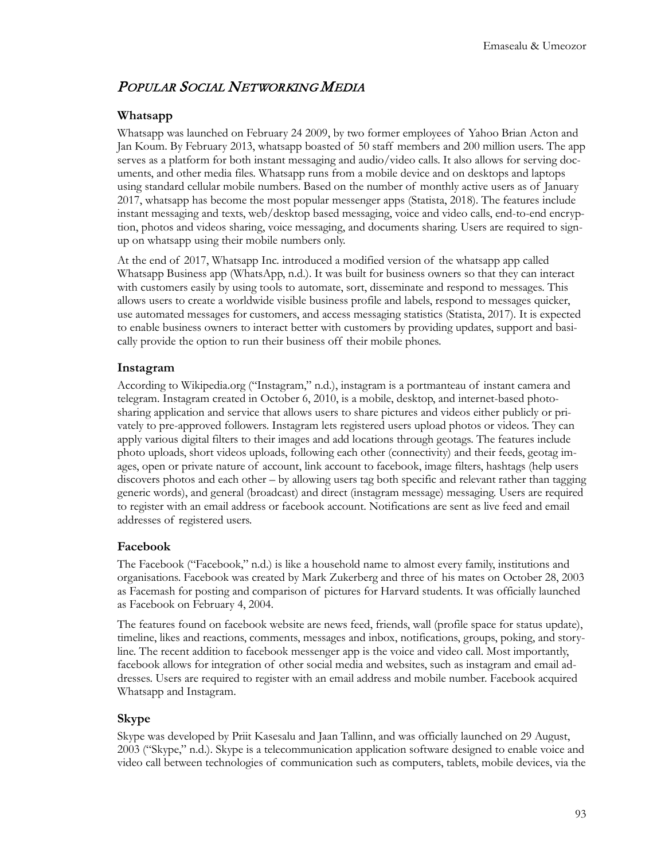## POPULAR SOCIAL NETWORKING MEDIA

#### **Whatsapp**

Whatsapp was launched on February 24 2009, by two former employees of Yahoo Brian Acton and Jan Koum. By February 2013, whatsapp boasted of 50 staff members and 200 million users. The app serves as a platform for both instant messaging and audio/video calls. It also allows for serving documents, and other media files. Whatsapp runs from a mobile device and on desktops and laptops using standard cellular mobile numbers. Based on the number of monthly active users as of January 2017, whatsapp has become the most popular messenger apps (Statista, 2018). The features include instant messaging and texts, web/desktop based messaging, voice and video calls, end-to-end encryption, photos and videos sharing, voice messaging, and documents sharing. Users are required to signup on whatsapp using their mobile numbers only.

At the end of 2017, Whatsapp Inc. introduced a modified version of the whatsapp app called Whatsapp Business app (WhatsApp, n.d.). It was built for business owners so that they can interact with customers easily by using tools to automate, sort, disseminate and respond to messages. This allows users to create a worldwide visible business profile and labels, respond to messages quicker, use automated messages for customers, and access messaging statistics (Statista, 2017). It is expected to enable business owners to interact better with customers by providing updates, support and basically provide the option to run their business off their mobile phones.

#### **Instagram**

According to Wikipedia.org ("Instagram," n.d.), instagram is a portmanteau of instant camera and telegram. Instagram created in October 6, 2010, is a mobile, desktop, and internet-based photosharing application and service that allows users to share pictures and videos either publicly or privately to pre-approved followers. Instagram lets registered users upload photos or videos. They can apply various digital filters to their images and add locations through geotags. The features include photo uploads, short videos uploads, following each other (connectivity) and their feeds, geotag images, open or private nature of account, link account to facebook, image filters, hashtags (help users discovers photos and each other – by allowing users tag both specific and relevant rather than tagging generic words), and general (broadcast) and direct (instagram message) messaging. Users are required to register with an email address or facebook account. Notifications are sent as live feed and email addresses of registered users.

### **Facebook**

The Facebook ("Facebook," n.d.) is like a household name to almost every family, institutions and organisations. Facebook was created by Mark Zukerberg and three of his mates on October 28, 2003 as Facemash for posting and comparison of pictures for Harvard students. It was officially launched as Facebook on February 4, 2004.

The features found on facebook website are news feed, friends, wall (profile space for status update), timeline, likes and reactions, comments, messages and inbox, notifications, groups, poking, and storyline. The recent addition to facebook messenger app is the voice and video call. Most importantly, facebook allows for integration of other social media and websites, such as instagram and email addresses. Users are required to register with an email address and mobile number. Facebook acquired Whatsapp and Instagram.

### **Skype**

Skype was developed by Priit Kasesalu and Jaan Tallinn, and was officially launched on 29 August, 2003 ("Skype," n.d.). Skype is a telecommunication application software designed to enable voice and video call between technologies of communication such as computers, tablets, mobile devices, via the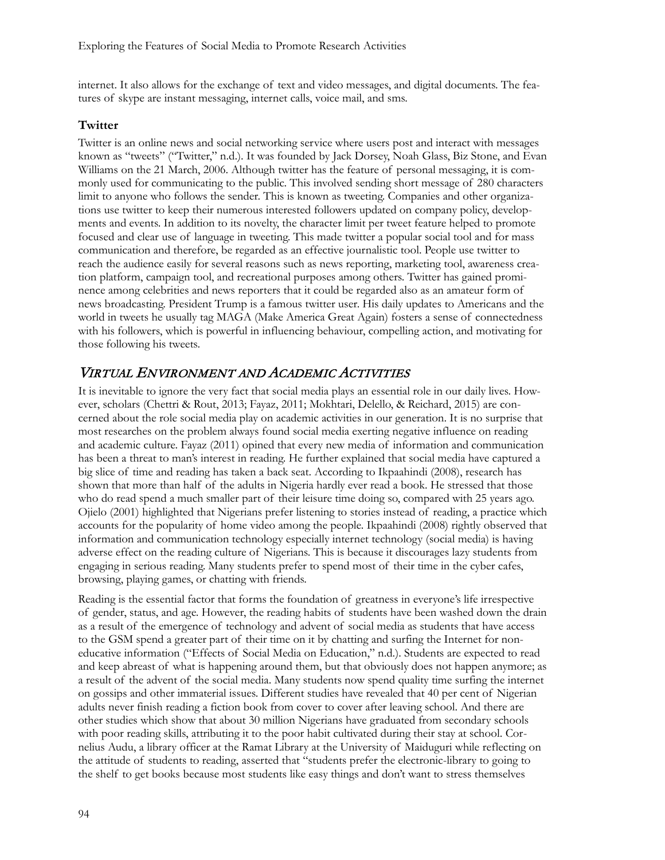internet. It also allows for the exchange of text and video messages, and digital documents. The features of skype are instant messaging, internet calls, voice mail, and sms.

### **Twitter**

Twitter is an online news and social networking service where users post and interact with messages known as "tweets" ("Twitter," n.d.). It was founded by Jack Dorsey, Noah Glass, Biz Stone, and Evan Williams on the 21 March, 2006. Although twitter has the feature of personal messaging, it is commonly used for communicating to the public. This involved sending short message of 280 characters limit to anyone who follows the sender. This is known as tweeting. Companies and other organizations use twitter to keep their numerous interested followers updated on company policy, developments and events. In addition to its novelty, the character limit per tweet feature helped to promote focused and clear use of language in tweeting. This made twitter a popular social tool and for mass communication and therefore, be regarded as an effective journalistic tool. People use twitter to reach the audience easily for several reasons such as news reporting, marketing tool, awareness creation platform, campaign tool, and recreational purposes among others. Twitter has gained prominence among celebrities and news reporters that it could be regarded also as an amateur form of news broadcasting. President Trump is a famous twitter user. His daily updates to Americans and the world in tweets he usually tag MAGA (Make America Great Again) fosters a sense of connectedness with his followers, which is powerful in influencing behaviour, compelling action, and motivating for those following his tweets.

## VIRTUAL ENVIRONMENT AND ACADEMIC ACTIVITIES

It is inevitable to ignore the very fact that social media plays an essential role in our daily lives. However, scholars (Chettri & Rout, 2013; Fayaz, 2011; Mokhtari, Delello, & Reichard, 2015) are concerned about the role social media play on academic activities in our generation. It is no surprise that most researches on the problem always found social media exerting negative influence on reading and academic culture. Fayaz (2011) opined that every new media of information and communication has been a threat to man's interest in reading. He further explained that social media have captured a big slice of time and reading has taken a back seat. According to Ikpaahindi (2008), research has shown that more than half of the adults in Nigeria hardly ever read a book. He stressed that those who do read spend a much smaller part of their leisure time doing so, compared with 25 years ago. Ojielo (2001) highlighted that Nigerians prefer listening to stories instead of reading, a practice which accounts for the popularity of home video among the people. Ikpaahindi (2008) rightly observed that information and communication technology especially internet technology (social media) is having adverse effect on the reading culture of Nigerians. This is because it discourages lazy students from engaging in serious reading. Many students prefer to spend most of their time in the cyber cafes, browsing, playing games, or chatting with friends.

Reading is the essential factor that forms the foundation of greatness in everyone's life irrespective of gender, status, and age. However, the reading habits of students have been washed down the drain as a result of the emergence of technology and advent of social media as students that have access to the GSM spend a greater part of their time on it by chatting and surfing the Internet for noneducative information ("Effects of Social Media on Education," n.d.). Students are expected to read and keep abreast of what is happening around them, but that obviously does not happen anymore; as a result of the advent of the social media. Many students now spend quality time surfing the internet on gossips and other immaterial issues. Different studies have revealed that 40 per cent of Nigerian adults never finish reading a fiction book from cover to cover after leaving school. And there are other studies which show that about 30 million Nigerians have graduated from secondary schools with poor reading skills, attributing it to the poor habit cultivated during their stay at school. Cornelius Audu, a library officer at the Ramat Library at the University of Maiduguri while reflecting on the attitude of students to reading, asserted that "students prefer the electronic-library to going to the shelf to get books because most students like easy things and don't want to stress themselves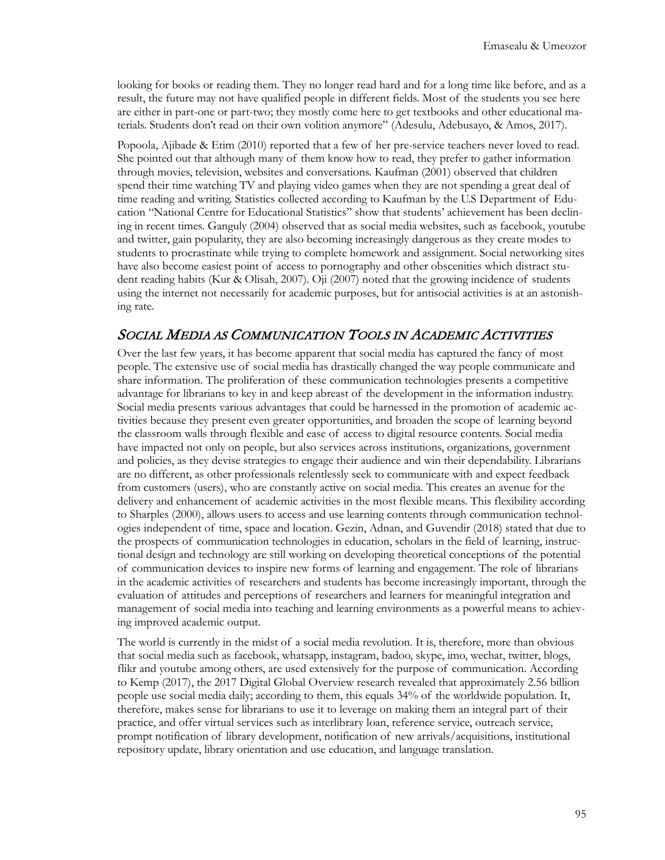looking for books or reading them. They no longer read hard and for a long time like before, and as a result, the future may not have qualified people in different fields. Most of the students you see here are either in part-one or part-two; they mostly come here to get textbooks and other educational materials. Students don't read on their own volition anymore" (Adesulu, Adebusayo, & Amos, 2017).

Popoola, Ajibade & Etim (2010) reported that a few of her pre-service teachers never loved to read. She pointed out that although many of them know how to read, they prefer to gather information through movies, television, websites and conversations. Kaufman (2001) observed that children spend their time watching TV and playing video games when they are not spending a great deal of time reading and writing. Statistics collected according to Kaufman by the U.S Department of Education "National Centre for Educational Statistics" show that students' achievement has been declining in recent times. Ganguly (2004) observed that as social media websites, such as facebook, youtube and twitter, gain popularity, they are also becoming increasingly dangerous as they create modes to students to procrastinate while trying to complete homework and assignment. Social networking sites have also become easiest point of access to pornography and other obscenities which distract student reading habits (Kur & Olisah, 2007). Oji (2007) noted that the growing incidence of students using the internet not necessarily for academic purposes, but for antisocial activities is at an astonishing rate.

### SOCIAL MEDIA AS COMMUNICATION TOOLS IN ACADEMIC ACTIVITIES

Over the last few years, it has become apparent that social media has captured the fancy of most people. The extensive use of social media has drastically changed the way people communicate and share information. The proliferation of these communication technologies presents a competitive advantage for librarians to key in and keep abreast of the development in the information industry. Social media presents various advantages that could be harnessed in the promotion of academic activities because they present even greater opportunities, and broaden the scope of learning beyond the classroom walls through flexible and ease of access to digital resource contents. Social media have impacted not only on people, but also services across institutions, organizations, government and policies, as they devise strategies to engage their audience and win their dependability. Librarians are no different, as other professionals relentlessly seek to communicate with and expect feedback from customers (users), who are constantly active on social media. This creates an avenue for the delivery and enhancement of academic activities in the most flexible means. This flexibility according to Sharples (2000), allows users to access and use learning contents through communication technologies independent of time, space and location. Gezin, Adnan, and Guvendir (2018) stated that due to the prospects of communication technologies in education, scholars in the field of learning, instructional design and technology are still working on developing theoretical conceptions of the potential of communication devices to inspire new forms of learning and engagement. The role of librarians in the academic activities of researchers and students has become increasingly important, through the evaluation of attitudes and perceptions of researchers and learners for meaningful integration and management of social media into teaching and learning environments as a powerful means to achieving improved academic output.

The world is currently in the midst of a social media revolution. It is, therefore, more than obvious that social media such as facebook, whatsapp, instagram, badoo, skype, imo, wechat, twitter, blogs, flikr and youtube among others, are used extensively for the purpose of communication. According to Kemp (2017), the 2017 Digital Global Overview research revealed that approximately 2.56 billion people use social media daily; according to them, this equals 34% of the worldwide population. It, therefore, makes sense for librarians to use it to leverage on making them an integral part of their practice, and offer virtual services such as interlibrary loan, reference service, outreach service, prompt notification of library development, notification of new arrivals/acquisitions, institutional repository update, library orientation and use education, and language translation.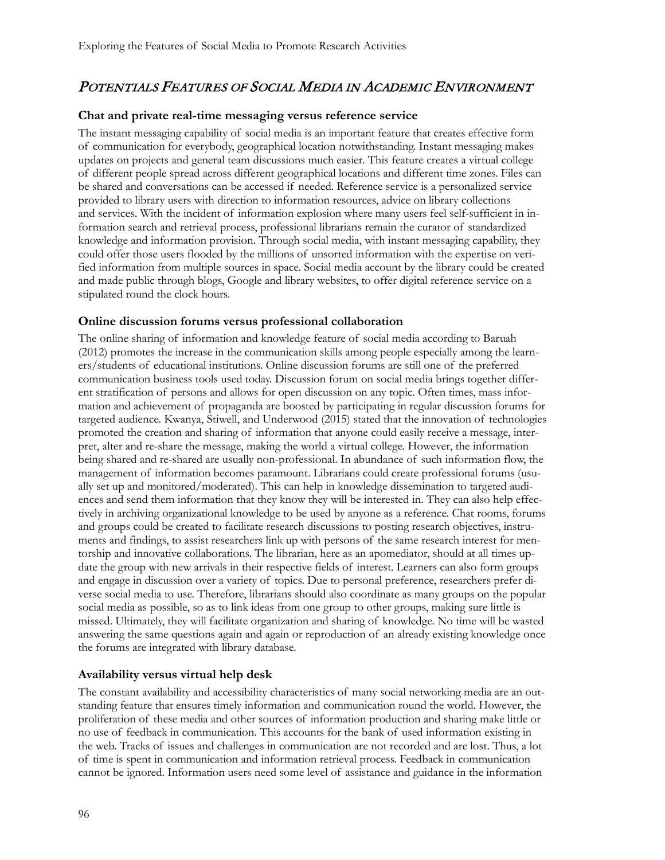### POTENTIALS FEATURES OF SOCIAL MEDIA IN ACADEMIC ENVIRONMENT

#### **Chat and private real-time messaging versus reference service**

The instant messaging capability of social media is an important feature that creates effective form of communication for everybody, geographical location notwithstanding. Instant messaging makes updates on projects and general team discussions much easier. This feature creates a virtual college of different people spread across different geographical locations and different time zones. Files can be shared and conversations can be accessed if needed. Reference service is a personalized service provided to library users with direction to information resources, advice on library collections and services. With the incident of information explosion where many users feel self-sufficient in information search and retrieval process, professional librarians remain the curator of standardized knowledge and information provision. Through social media, with instant messaging capability, they could offer those users flooded by the millions of unsorted information with the expertise on verified information from multiple sources in space. Social media account by the library could be created and made public through blogs, Google and library websites, to offer digital reference service on a stipulated round the clock hours.

#### **Online discussion forums versus professional collaboration**

The online sharing of information and knowledge feature of social media according to Baruah (2012) promotes the increase in the communication skills among people especially among the learners/students of educational institutions. Online discussion forums are still one of the preferred communication business tools used today. Discussion forum on social media brings together different stratification of persons and allows for open discussion on any topic. Often times, mass information and achievement of propaganda are boosted by participating in regular discussion forums for targeted audience. Kwanya, Stiwell, and Underwood (2015) stated that the innovation of technologies promoted the creation and sharing of information that anyone could easily receive a message, interpret, alter and re-share the message, making the world a virtual college. However, the information being shared and re-shared are usually non-professional. In abundance of such information flow, the management of information becomes paramount. Librarians could create professional forums (usually set up and monitored/moderated). This can help in knowledge dissemination to targeted audiences and send them information that they know they will be interested in. They can also help effectively in archiving organizational knowledge to be used by anyone as a reference. Chat rooms, forums and groups could be created to facilitate research discussions to posting research objectives, instruments and findings, to assist researchers link up with persons of the same research interest for mentorship and innovative collaborations. The librarian, here as an apomediator, should at all times update the group with new arrivals in their respective fields of interest. Learners can also form groups and engage in discussion over a variety of topics. Due to personal preference, researchers prefer diverse social media to use. Therefore, librarians should also coordinate as many groups on the popular social media as possible, so as to link ideas from one group to other groups, making sure little is missed. Ultimately, they will facilitate organization and sharing of knowledge. No time will be wasted answering the same questions again and again or reproduction of an already existing knowledge once the forums are integrated with library database.

### **Availability versus virtual help desk**

The constant availability and accessibility characteristics of many social networking media are an outstanding feature that ensures timely information and communication round the world. However, the proliferation of these media and other sources of information production and sharing make little or no use of feedback in communication. This accounts for the bank of used information existing in the web. Tracks of issues and challenges in communication are not recorded and are lost. Thus, a lot of time is spent in communication and information retrieval process. Feedback in communication cannot be ignored. Information users need some level of assistance and guidance in the information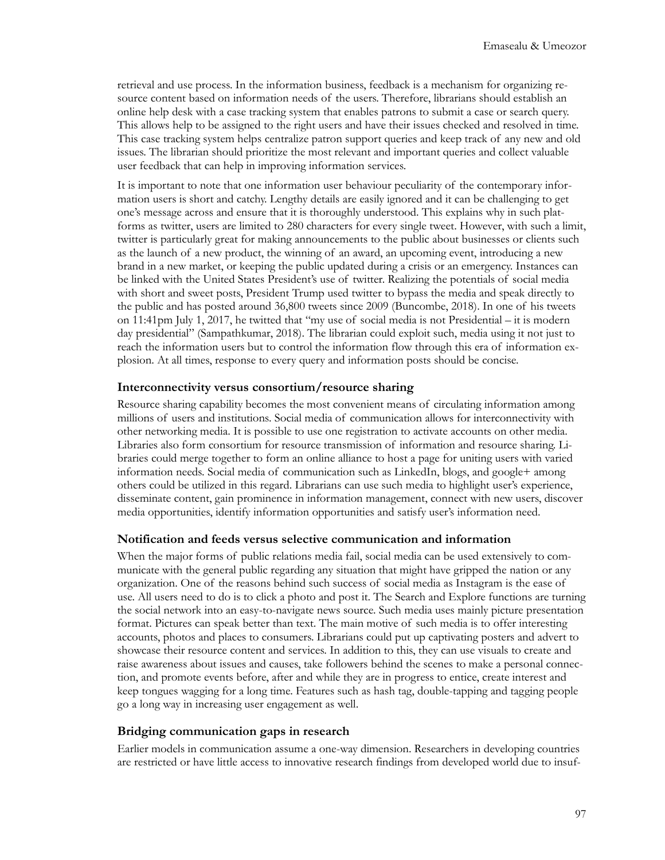retrieval and use process. In the information business, feedback is a mechanism for organizing resource content based on information needs of the users. Therefore, librarians should establish an online help desk with a case tracking system that enables patrons to submit a case or search query. This allows help to be assigned to the right users and have their issues checked and resolved in time. This case tracking system helps centralize patron support queries and keep track of any new and old issues. The librarian should prioritize the most relevant and important queries and collect valuable user feedback that can help in improving information services.

It is important to note that one information user behaviour peculiarity of the contemporary information users is short and catchy. Lengthy details are easily ignored and it can be challenging to get one's message across and ensure that it is thoroughly understood. This explains why in such platforms as twitter, users are limited to 280 characters for every single tweet. However, with such a limit, twitter is particularly great for making announcements to the public about businesses or clients such as the launch of a new product, the winning of an award, an upcoming event, introducing a new brand in a new market, or keeping the public updated during a crisis or an emergency. Instances can be linked with the United States President's use of twitter. Realizing the potentials of social media with short and sweet posts, President Trump used twitter to bypass the media and speak directly to the public and has posted around 36,800 tweets since 2009 (Buncombe, 2018). In one of his tweets on 11:41pm July 1, 2017, he twitted that "my use of social media is not Presidential – it is modern day presidential" (Sampathkumar, 2018). The librarian could exploit such, media using it not just to reach the information users but to control the information flow through this era of information explosion. At all times, response to every query and information posts should be concise.

#### **Interconnectivity versus consortium/resource sharing**

Resource sharing capability becomes the most convenient means of circulating information among millions of users and institutions. Social media of communication allows for interconnectivity with other networking media. It is possible to use one registration to activate accounts on other media. Libraries also form consortium for resource transmission of information and resource sharing. Libraries could merge together to form an online alliance to host a page for uniting users with varied information needs. Social media of communication such as LinkedIn, blogs, and google+ among others could be utilized in this regard. Librarians can use such media to highlight user's experience, disseminate content, gain prominence in information management, connect with new users, discover media opportunities, identify information opportunities and satisfy user's information need.

#### **Notification and feeds versus selective communication and information**

When the major forms of public relations media fail, social media can be used extensively to communicate with the general public regarding any situation that might have gripped the nation or any organization. One of the reasons behind such success of social media as Instagram is the ease of use. All users need to do is to click a photo and post it. The Search and Explore functions are turning the social network into an easy-to-navigate news source. Such media uses mainly picture presentation format. Pictures can speak better than text. The main motive of such media is to offer interesting accounts, photos and places to consumers. Librarians could put up captivating posters and advert to showcase their resource content and services. In addition to this, they can use visuals to create and raise awareness about issues and causes, take followers behind the scenes to make a personal connection, and promote events before, after and while they are in progress to entice, create interest and keep tongues wagging for a long time. Features such as hash tag, double-tapping and tagging people go a long way in increasing user engagement as well.

#### **Bridging communication gaps in research**

Earlier models in communication assume a one-way dimension. Researchers in developing countries are restricted or have little access to innovative research findings from developed world due to insuf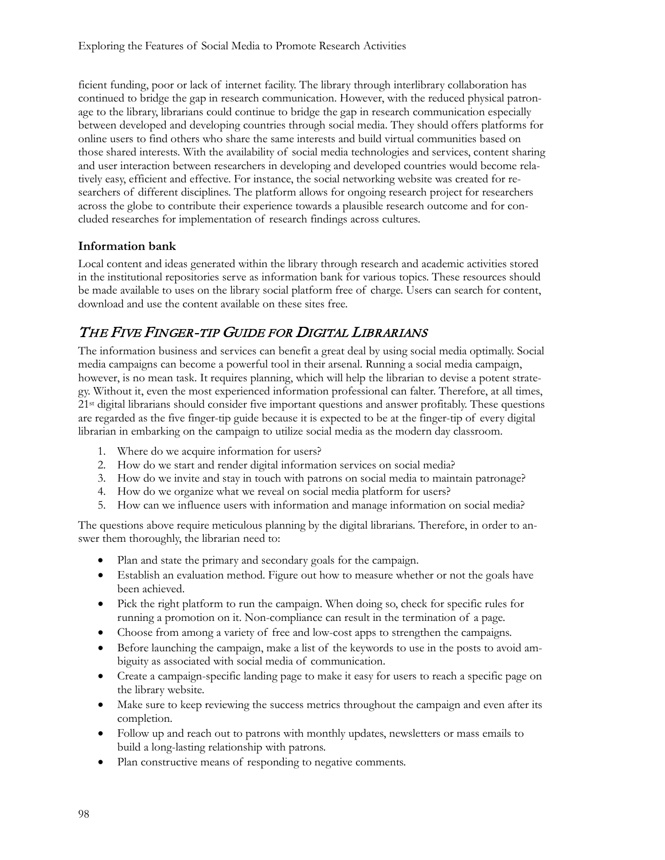ficient funding, poor or lack of internet facility. The library through interlibrary collaboration has continued to bridge the gap in research communication. However, with the reduced physical patronage to the library, librarians could continue to bridge the gap in research communication especially between developed and developing countries through social media. They should offers platforms for online users to find others who share the same interests and build virtual communities based on those shared interests. With the availability of social media technologies and services, content sharing and user interaction between researchers in developing and developed countries would become relatively easy, efficient and effective. For instance, the social networking website was created for researchers of different disciplines. The platform allows for ongoing research project for researchers across the globe to contribute their experience towards a plausible research outcome and for concluded researches for implementation of research findings across cultures.

#### **Information bank**

Local content and ideas generated within the library through research and academic activities stored in the institutional repositories serve as information bank for various topics. These resources should be made available to uses on the library social platform free of charge. Users can search for content, download and use the content available on these sites free.

### THE FIVE FINGER-TIP GUIDE FOR DIGITAL LIBRARIANS

The information business and services can benefit a great deal by using social media optimally. Social media campaigns can become a powerful tool in their arsenal. Running a social media campaign, however, is no mean task. It requires planning, which will help the librarian to devise a potent strategy. Without it, even the most experienced information professional can falter. Therefore, at all times, 21st digital librarians should consider five important questions and answer profitably. These questions are regarded as the five finger-tip guide because it is expected to be at the finger-tip of every digital librarian in embarking on the campaign to utilize social media as the modern day classroom.

- 1. Where do we acquire information for users?
- 2. How do we start and render digital information services on social media?
- 3. How do we invite and stay in touch with patrons on social media to maintain patronage?
- 4. How do we organize what we reveal on social media platform for users?
- 5. How can we influence users with information and manage information on social media?

The questions above require meticulous planning by the digital librarians. Therefore, in order to answer them thoroughly, the librarian need to:

- Plan and state the primary and secondary goals for the campaign.
- Establish an evaluation method. Figure out how to measure whether or not the goals have been achieved.
- Pick the right platform to run the campaign. When doing so, check for specific rules for running a promotion on it. Non-compliance can result in the termination of a page.
- Choose from among a variety of free and low-cost apps to strengthen the campaigns.
- Before launching the campaign, make a list of the keywords to use in the posts to avoid ambiguity as associated with social media of communication.
- Create a campaign-specific landing page to make it easy for users to reach a specific page on the library website.
- Make sure to keep reviewing the [success metrics](http://www.socialmediaexaminer.com/measure-social-media-roi/) throughout the campaign and even after its completion.
- Follow up and reach out to patrons with monthly updates, newsletters or mass emails to build a long-lasting relationship with patrons.
- Plan constructive means of responding to negative comments.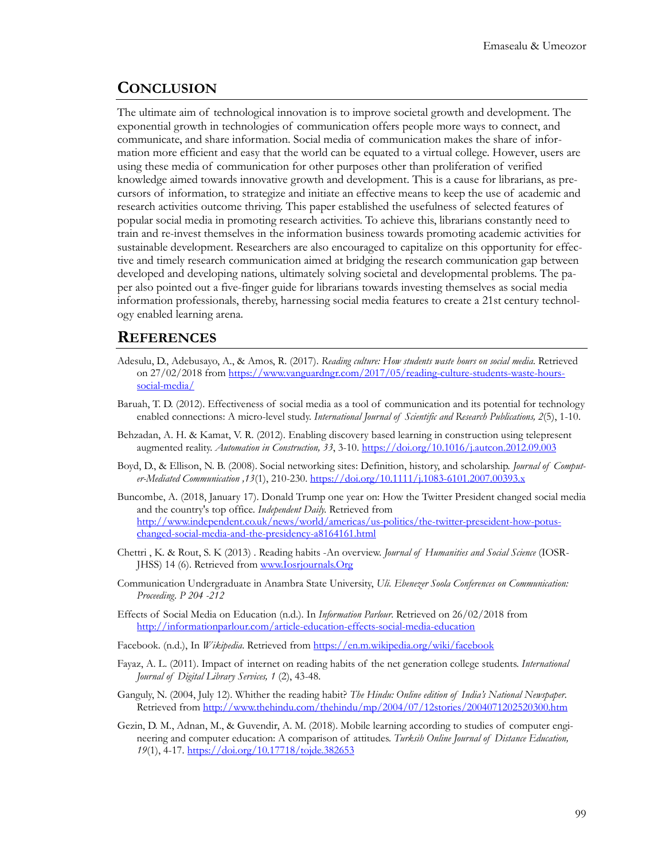## **CONCLUSION**

The ultimate aim of technological innovation is to improve societal growth and development. The exponential growth in technologies of communication offers people more ways to connect, and communicate, and share information. Social media of communication makes the share of information more efficient and easy that the world can be equated to a virtual college. However, users are using these media of communication for other purposes other than proliferation of verified knowledge aimed towards innovative growth and development. This is a cause for librarians, as precursors of information, to strategize and initiate an effective means to keep the use of academic and research activities outcome thriving. This paper established the usefulness of selected features of popular social media in promoting research activities. To achieve this, librarians constantly need to train and re-invest themselves in the information business towards promoting academic activities for sustainable development. Researchers are also encouraged to capitalize on this opportunity for effective and timely research communication aimed at bridging the research communication gap between developed and developing nations, ultimately solving societal and developmental problems. The paper also pointed out a five-finger guide for librarians towards investing themselves as social media information professionals, thereby, harnessing social media features to create a 21st century technology enabled learning arena.

### **REFERENCES**

- Adesulu, D., Adebusayo, A., & Amos, R. (2017). *Reading culture: How students waste hours on social media*. Retrieved on 27/02/2018 from [https://www.vanguardngr.com/2017/05/reading](https://www.vanguardngr.com/2017/05/reading-culture-students-waste-hours-social-media/)-culture-students-waste-hourssocial-[media/](https://www.vanguardngr.com/2017/05/reading-culture-students-waste-hours-social-media/)
- Baruah, T. D. (2012). Effectiveness of social media as a tool of communication and its potential for technology enabled connections: A micro-level study. *International Journal of Scientific and Research Publications, 2*(5), 1-10.
- Behzadan, A. H. & Kamat, V. R. (2012). Enabling discovery based learning in construction using telepresent augmented reality. *Automation in Construction, 33*, 3-10. <https://doi.org/10.1016/j.autcon.2012.09.003>
- Boyd, D., & Ellison, N. B. (2008). Social networking sites: Definition, history, and scholarship. *Journal of Computer-Mediated Communication ,13*(1), 210-230. [https://doi.org/10.1111/j.1083](https://doi.org/10.1111/j.1083-6101.2007.00393.x)-6101.2007.00393.x
- Buncombe, A. (2018, January 17). Donald Trump one year on: How the Twitter President changed social media and the country's top office. *Independent Daily.* Retrieved from [http://www.independent.co.uk/news/world/americas/us](http://www.independent.co.uk/news/world/americas/us-politics/the-twitter-preseident-how-potus-changed-social-media-and-the-presidency-a8164161.html)-politics/the-twitter-preseident-how-potuschanged-social-media-and-the-presidency-[a8164161.html](http://www.independent.co.uk/news/world/americas/us-politics/the-twitter-preseident-how-potus-changed-social-media-and-the-presidency-a8164161.html)
- Chettri , K. & Rout, S. K (2013) . Reading habits -An overview. *Journal of Humanities and Social Science* (IOSR-JHSS) 14 (6). Retrieved from [www.Iosrjournals.Org](http://www.iosrjournals.org/)
- Communication Undergraduate in Anambra State University, *Uli. Ebenezer Soola Conferences on Communication: Proceeding. P 204 -212*
- Effects of Social Media on Education (n.d.). In *Information Parlour*. Retrieved on 26/02/2018 from [http://informationparlour.com/article](http://informationparlour.com/article-education-effects-social-media-education)-education-effects-social-media-education
- Facebook. (n.d.), In *Wikipedia*. Retrieved fro[m https://en.m.wikipedia.org/wiki/facebook](https://en.m.wikipedia.org/wiki/facebook)
- Fayaz, A. L. (2011). Impact of internet on reading habits of the net generation college students. *International Journal of Digital Library Services, 1* (2), 43-48.
- Ganguly, N. (2004, July 12). Whither the reading habit? *The Hindu: Online edition of India's National Newspaper*. Retrieved from<http://www.thehindu.com/thehindu/mp/2004/07/12stories/2004071202520300.htm>
- Gezin, D. M., Adnan, M., & Guvendir, A. M. (2018). Mobile learning according to studies of computer engineering and computer education: A comparison of attitudes. *Turksih Online Journal of Distance Education, 19*(1), 4-17. <https://doi.org/10.17718/tojde.382653>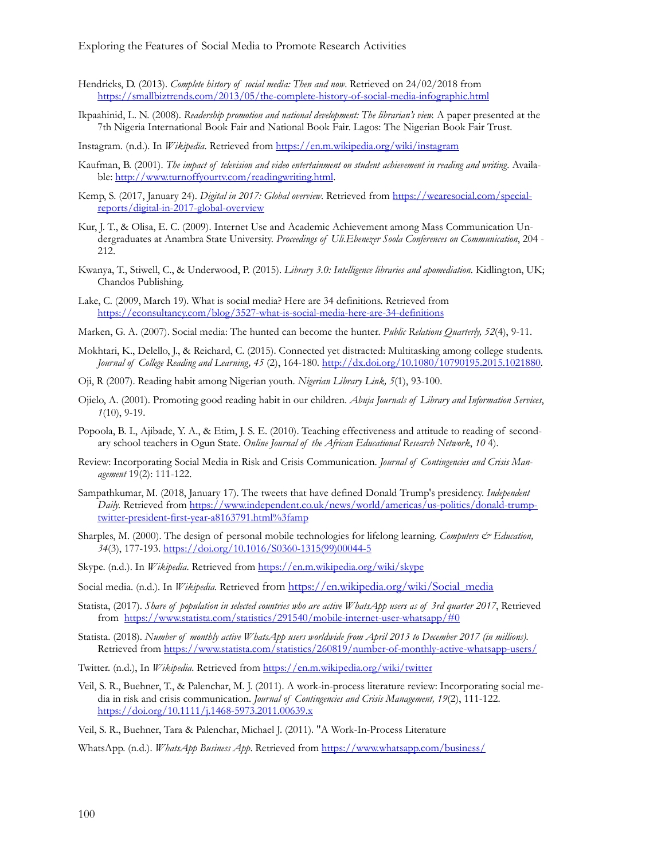- Hendricks, D. (2013). *Complete history of social media: Then and now*. Retrieved on 24/02/2018 from [https://smallbiztrends.com/2013/05/the](https://smallbiztrends.com/2013/05/the-complete-history-of-social-media-infographic.html)-complete-history-of-social-media-infographic.html
- Ikpaahinid, L. N. (2008). *Readership promotion and national development: The librarian's view.* A paper presented at the 7th Nigeria International Book Fair and National Book Fair. Lagos: The Nigerian Book Fair Trust.

Instagram. (n.d.). In *Wikipedia*. Retrieved from<https://en.m.wikipedia.org/wiki/instagram>

- Kaufman, B. (2001). *The impact of television and video entertainment on student achievement in reading and writing.* Available: [http://www.turnoffyourtv.com/readingwriting.html.](http://www.turnoffyourtv.com/readingwriting.html)
- Kemp, S. (2017, January 24). *Digital in 2017: Global overview*. Retrieved fro[m https://wearesocial.com/special](https://wearesocial.com/special-reports/digital-in-2017-global-overview)[reports/digital](https://wearesocial.com/special-reports/digital-in-2017-global-overview)-in-2017-global-overview
- Kur, J. T., & Olisa, E. C. (2009). Internet Use and Academic Achievement among Mass Communication Undergraduates at Anambra State University. *Proceedings of Uli.Ebenezer Soola Conferences on Communication*, 204 - 212.
- Kwanya, T., Stiwell, C., & Underwood, P. (2015). *Library 3.0: Intelligence libraries and apomediation*. Kidlington, UK; Chandos Publishing.
- Lake, C. (2009, March 19). What is social media? Here are 34 definitions. Retrieved from [https://econsultancy.com/blog/3527](https://econsultancy.com/blog/3527-what-is-social-media-here-are-34-definitions)-what-is-social-media-here-are-34-definitions
- Marken, G. A. (2007). Social media: The hunted can become the hunter. *Public Relations Quarterly, 52*(4), 9-11.
- Mokhtari, K., Delello, J., & Reichard, C. (2015). Connected yet distracted: Multitasking among college students. *Journal of College Reading and Learning, 45* (2), 164-180[. http://dx.doi.org/10.1080/10790195.2015.1021880.](http://dx.doi.org/10.1080/10790195.2015.1021880)
- Oji, R (2007). Reading habit among Nigerian youth. *Nigerian Library Link, 5*(1), 93-100.
- Ojielo, A. (2001). Promoting good reading habit in our children. *Abuja Journals of Library and Information Services*, *1*(10), 9-19.
- Popoola, B. I., Ajibade, Y. A., & Etim, J. S. E. (2010). Teaching effectiveness and attitude to reading of secondary school teachers in Ogun State. *Online Journal of the African Educational Research Network*, *10* 4).
- Review: Incorporating Social Media in Risk and Crisis Communication. *Journal of Contingencies and Crisis Management* 19(2): 111-122.
- Sampathkumar, M. (2018, January 17). The tweets that have defined Donald Trump's presidency. *Independent Daily.* Retrieved fro[m https://www.independent.co.uk/news/world/americas/us](https://www.independent.co.uk/news/world/americas/us-politics/donald-trump-twitter-president-first-year-a8163791.html%3famp)-politics/donald-trumptwitter-president-first-year-[a8163791.html%3famp](https://www.independent.co.uk/news/world/americas/us-politics/donald-trump-twitter-president-first-year-a8163791.html%3famp)
- Sharples, M. (2000). The design of personal mobile technologies for lifelong learning. *Computers & Education*, *34*(3), 177-193. [https://doi.org/10.1016/S0360](https://doi.org/10.1016/S0360-1315(99)00044-5)-1315(99)00044-5
- Skype. (n.d.). In *Wikipedia*. Retrieved fro[m https://en.m.wikipedia.org/wiki/skype](https://en.m.wikipedia.org/wiki/skype)
- Social media. (n.d.). In *Wikipedia*. Retrieved from [https://en.wikipedia.org/wiki/Social\\_media](https://en.wikipedia.org/wiki/Social_media)
- Statista, (2017). *Share of population in selected countries who are active WhatsApp users as of 3rd quarter 2017*, Retrieved from [https://www.statista.com/statistics/291540/mobile](https://www.statista.com/statistics/291540/mobile-internet-user-whatsapp/#0)-internet-user-whatsapp/#0
- Statista. (2018). *Number of monthly active WhatsApp users worldwide from April 2013 to December 2017 (in millions).* Retrieved from [https://www.statista.com/statistics/260819/number](https://www.statista.com/statistics/260819/number-of-monthly-active-whatsapp-users/)-of-monthly-active-whatsapp-users/
- Twitter. (n.d.), In *Wikipedia*. Retrieved from<https://en.m.wikipedia.org/wiki/twitter>
- Veil, S. R., Buehner, T., & Palenchar, M. J. (2011). A work-in-process literature review: Incorporating social media in risk and crisis communication. *Journal of Contingencies and Crisis Management, 19*(2), 111-122. [https://doi.org/10.1111/j.1468](https://doi.org/10.1111/j.1468-5973.2011.00639.x)-5973.2011.00639.x
- Veil, S. R., Buehner, Tara & Palenchar, Michael J. (2011). "A Work-In-Process Literature

WhatsApp. (n.d.). *WhatsApp Business App*. Retrieved from<https://www.whatsapp.com/business/>